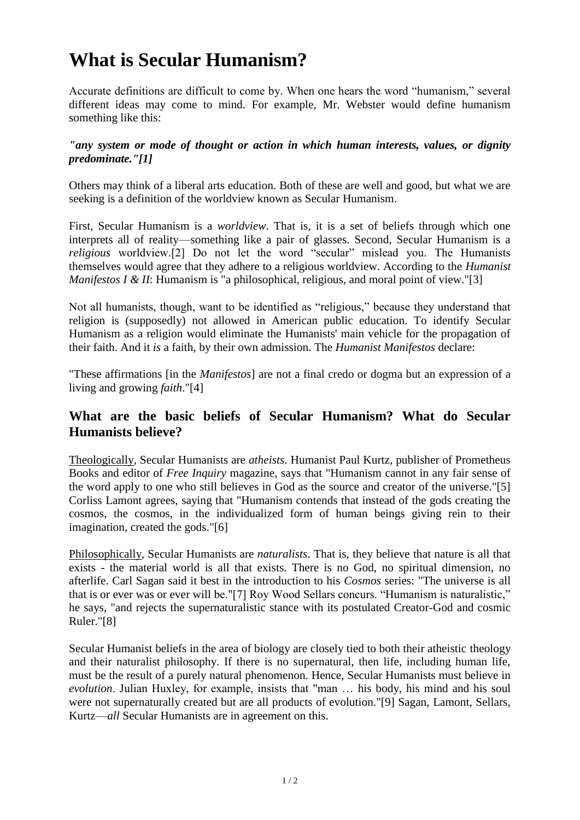## **What is Secular Humanism?**

Accurate definitions are difficult to come by. When one hears the word "humanism," several different ideas may come to mind. For example, Mr. Webster would define humanism something like this:

## *"any system or mode of thought or action in which human interests, values, or dignity predominate."[1]*

Others may think of a liberal arts education. Both of these are well and good, but what we are seeking is a definition of the worldview known as Secular Humanism.

First, Secular Humanism is a *worldview*. That is, it is a set of beliefs through which one interprets all of reality—something like a pair of glasses. Second, Secular Humanism is a *religious* worldview.[2] Do not let the word "secular" mislead you. The Humanists themselves would agree that they adhere to a religious worldview. According to the *Humanist Manifestos I & II*: Humanism is "a philosophical, religious, and moral point of view."[3]

Not all humanists, though, want to be identified as "religious," because they understand that religion is (supposedly) not allowed in American public education. To identify Secular Humanism as a religion would eliminate the Humanists' main vehicle for the propagation of their faith. And it *is* a faith, by their own admission. The *Humanist Manifestos* declare:

"These affirmations [in the *Manifestos*] are not a final credo or dogma but an expression of a living and growing *faith*."[4]

## **What are the basic beliefs of Secular Humanism? What do Secular Humanists believe?**

Theologically, Secular Humanists are *atheists*. Humanist Paul Kurtz, publisher of Prometheus Books and editor of *Free Inquiry* magazine, says that "Humanism cannot in any fair sense of the word apply to one who still believes in God as the source and creator of the universe."[5] Corliss Lamont agrees, saying that "Humanism contends that instead of the gods creating the cosmos, the cosmos, in the individualized form of human beings giving rein to their imagination, created the gods."[6]

Philosophically, Secular Humanists are *naturalists*. That is, they believe that nature is all that exists - the material world is all that exists. There is no God, no spiritual dimension, no afterlife. Carl Sagan said it best in the introduction to his *Cosmos* series: "The universe is all that is or ever was or ever will be."[7] Roy Wood Sellars concurs. "Humanism is naturalistic," he says, "and rejects the supernaturalistic stance with its postulated Creator-God and cosmic Ruler."[8]

Secular Humanist beliefs in the area of biology are closely tied to both their atheistic theology and their naturalist philosophy. If there is no supernatural, then life, including human life, must be the result of a purely natural phenomenon. Hence, Secular Humanists must believe in *evolution*. Julian Huxley, for example, insists that "man … his body, his mind and his soul were not supernaturally created but are all products of evolution."[9] Sagan, Lamont, Sellars, Kurtz—*all* Secular Humanists are in agreement on this.